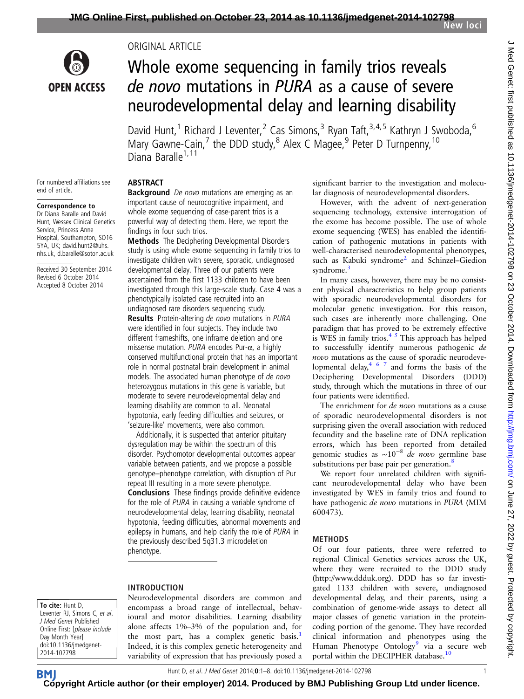

For numbered affiliations see

Correspondence to Dr Diana Baralle and David Hunt, Wessex Clinical Genetics Service, Princess Anne Hospital, Southampton, SO16 5YA, UK; david.hunt2@uhs. nhs.uk, d.baralle@soton.ac.uk Received 30 September 2014 Revised 6 October 2014 Accepted 8 October 2014

end of article.

ORIGINAL ARTICLE

# Whole exome sequencing in family trios reveals de novo mutations in PURA as a cause of severe neurodevelopmental delay and learning disability

David Hunt,<sup>1</sup> Richard J Leventer,<sup>2</sup> Cas Simons,<sup>3</sup> Ryan Taft,<sup>3,4,5</sup> Kathryn J Swoboda,<sup>6</sup> Mary Gawne-Cain, $^7$  the DDD study, $^8$  Alex C Magee, $^9$  Peter D Turnpenny,  $^{10}$ Diana Baralle<sup>1,11</sup>

## ABSTRACT

**Background** De novo mutations are emerging as an important cause of neurocognitive impairment, and whole exome sequencing of case-parent trios is a powerful way of detecting them. Here, we report the findings in four such trios.

Methods The Deciphering Developmental Disorders study is using whole exome sequencing in family trios to investigate children with severe, sporadic, undiagnosed developmental delay. Three of our patients were ascertained from the first 1133 children to have been investigated through this large-scale study. Case 4 was a phenotypically isolated case recruited into an undiagnosed rare disorders sequencing study. **Results** Protein-altering de novo mutations in PURA were identified in four subjects. They include two different frameshifts, one inframe deletion and one missense mutation.  $PURA$  encodes Pur- $\alpha$ , a highly conserved multifunctional protein that has an important role in normal postnatal brain development in animal models. The associated human phenotype of de novo heterozygous mutations in this gene is variable, but moderate to severe neurodevelopmental delay and learning disability are common to all. Neonatal hypotonia, early feeding difficulties and seizures, or 'seizure-like' movements, were also common.

Additionally, it is suspected that anterior pituitary dysregulation may be within the spectrum of this disorder. Psychomotor developmental outcomes appear variable between patients, and we propose a possible genotype–phenotype correlation, with disruption of Pur repeat III resulting in a more severe phenotype. Conclusions These findings provide definitive evidence for the role of PURA in causing a variable syndrome of neurodevelopmental delay, learning disability, neonatal hypotonia, feeding difficulties, abnormal movements and epilepsy in humans, and help clarify the role of PURA in the previously described 5q31.3 microdeletion phenotype.

# INTRODUCTION

To cite: Hunt D, Leventer RJ, Simons C, et al. J Med Genet Published Online First: [please include Day Month Year] doi:10.1136/jmedgenet-2014-102798

Neurodevelopmental disorders are common and encompass a broad range of intellectual, behavioural and motor disabilities. Learning disability alone affects 1%–3% of the population and, for the most part, has a complex genetic basis.<sup>[1](#page-7-0)</sup> Indeed, it is this complex genetic heterogeneity and variability of expression that has previously posed a significant barrier to the investigation and molecular diagnosis of neurodevelopmental disorders.

However, with the advent of next-generation sequencing technology, extensive interrogation of the exome has become possible. The use of whole exome sequencing (WES) has enabled the identification of pathogenic mutations in patients with well-characterised neurodevelopmental phenotypes, such as Kabuki syndrome<sup>[2](#page-7-0)</sup> and Schinzel-Giedion syndrome.<sup>[3](#page-7-0)</sup>

In many cases, however, there may be no consistent physical characteristics to help group patients with sporadic neurodevelopmental disorders for molecular genetic investigation. For this reason, such cases are inherently more challenging. One paradigm that has proved to be extremely effective is WES in family trios. $4<sup>5</sup>$  This approach has helped to successfully identify numerous pathogenic de novo mutations as the cause of sporadic neurodeve-lopmental delay,<sup>[467](#page-7-0)</sup> and forms the basis of the Deciphering Developmental Disorders (DDD) study, through which the mutations in three of our four patients were identified.

The enrichment for *de novo* mutations as a cause of sporadic neurodevelopmental disorders is not surprising given the overall association with reduced fecundity and the baseline rate of DNA replication errors, which has been reported from detailed genomic studies as  $\sim 10^{-8}$  de novo germline base substitutions per base pair per generation.<sup>[8](#page-7-0)</sup>

We report four unrelated children with significant neurodevelopmental delay who have been investigated by WES in family trios and found to have pathogenic de novo mutations in PURA (MIM 600473).

## METHODS

Of our four patients, three were referred to regional Clinical Genetics services across the UK, where they were recruited to the DDD study [\(http://www.ddduk.org](http://www.ddduk.org)). DDD has so far investigated 1133 children with severe, undiagnosed developmental delay, and their parents, using a combination of genome-wide assays to detect all major classes of genetic variation in the proteincoding portion of the genome. They have recorded clinical information and phenotypes using the Human Phenotype Ontology<sup>[9](#page-7-0)</sup> via a secure web portal within the DECIPHER database.<sup>[10](#page-7-0)</sup>

Hunt D, et al. J Med Genet 2014;0:1–8. doi:10.1136/jmedgenet-2014-102798 1

**BM [Cop](http://jmg.bmj.com)yright Article author (or their employer) 2014. Produced by BMJ Publishing Group Ltd under licence.**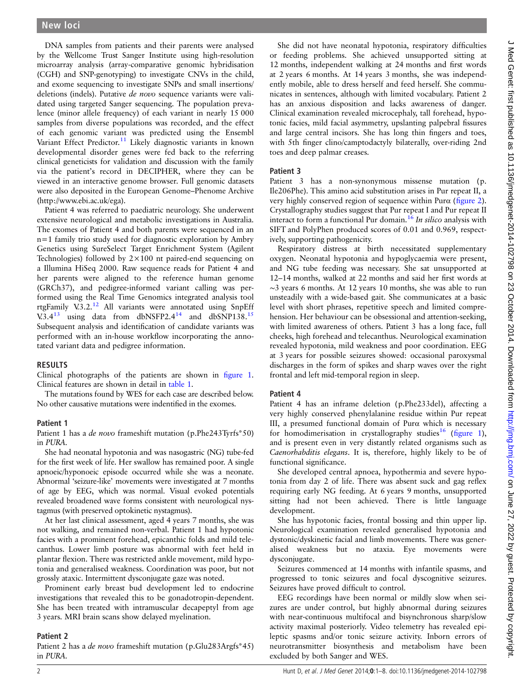DNA samples from patients and their parents were analysed by the Wellcome Trust Sanger Institute using high-resolution microarray analysis (array-comparative genomic hybridisation (CGH) and SNP-genotyping) to investigate CNVs in the child, and exome sequencing to investigate SNPs and small insertions/ deletions (indels). Putative de novo sequence variants were validated using targeted Sanger sequencing. The population prevalence (minor allele frequency) of each variant in nearly 15 000 samples from diverse populations was recorded, and the effect of each genomic variant was predicted using the Ensembl Variant Effect Predictor.<sup>[11](#page-7-0)</sup> Likely diagnostic variants in known developmental disorder genes were fed back to the referring clinical geneticists for validation and discussion with the family via the patient's record in DECIPHER, where they can be viewed in an interactive genome browser. Full genomic datasets were also deposited in the European Genome–Phenome Archive ([http://www.ebi.ac.uk/ega\)](http://www.ebi.ac.uk/ega).

Patient 4 was referred to paediatric neurology. She underwent extensive neurological and metabolic investigations in Australia. The exomes of Patient 4 and both parents were sequenced in an n=1 family trio study used for diagnostic exploration by Ambry Genetics using SureSelect Target Enrichment System (Agilent Technologies) followed by 2×100 nt paired-end sequencing on a Illumina HiSeq 2000. Raw sequence reads for Patient 4 and her parents were aligned to the reference human genome (GRCh37), and pedigree-informed variant calling was performed using the Real Time Genomics integrated analysis tool rtgFamily V.3.2.[12](#page-7-0) All variants were annotated using SnpEff V.3.4 $^{13}$  $^{13}$  $^{13}$  using data from dbNSFP2.4 $^{14}$  and dbSNP138.<sup>15</sup> Subsequent analysis and identification of candidate variants was performed with an in-house workflow incorporating the annotated variant data and pedigree information.

## RESULTS

Clinical photographs of the patients are shown in fi[gure 1](#page-2-0). Clinical features are shown in detail in [table 1.](#page-3-0)

The mutations found by WES for each case are described below. No other causative mutations were indentified in the exomes.

## Patient 1

Patient 1 has a *de novo* frameshift mutation (p.Phe243Tyrfs\*50) in PURA.

She had neonatal hypotonia and was nasogastric (NG) tube-fed for the first week of life. Her swallow has remained poor. A single apnoeic/hyponoeic episode occurred while she was a neonate. Abnormal 'seizure-like' movements were investigated at 7 months of age by EEG, which was normal. Visual evoked potentials revealed broadened wave forms consistent with neurological nystagmus (with preserved optokinetic nystagmus).

At her last clinical assessment, aged 4 years 7 months, she was not walking, and remained non-verbal. Patient 1 had hypotonic facies with a prominent forehead, epicanthic folds and mild telecanthus. Lower limb posture was abnormal with feet held in plantar flexion. There was restricted ankle movement, mild hypotonia and generalised weakness. Coordination was poor, but not grossly ataxic. Intermittent dysconjugate gaze was noted.

Prominent early breast bud development led to endocrine investigations that revealed this to be gonadotropin-dependent. She has been treated with intramuscular decapeptyl from age 3 years. MRI brain scans show delayed myelination.

#### Patient 2

Patient 2 has a de novo frameshift mutation (p.Glu283Argfs\*45) in PURA.

She did not have neonatal hypotonia, respiratory difficulties or feeding problems. She achieved unsupported sitting at 12 months, independent walking at 24 months and first words at 2 years 6 months. At 14 years 3 months, she was independently mobile, able to dress herself and feed herself. She communicates in sentences, although with limited vocabulary. Patient 2 has an anxious disposition and lacks awareness of danger. Clinical examination revealed microcephaly, tall forehead, hypotonic facies, mild facial asymmetry, upslanting palpebral fissures and large central incisors. She has long thin fingers and toes, with 5th finger clino/camptodactyly bilaterally, over-riding 2nd toes and deep palmar creases.

#### Patient 3

Patient 3 has a non-synonymous missense mutation (p. Ile206Phe). This amino acid substitution arises in Pur repeat II, a very highly conserved region of sequence within Purα (fi[gure 2\)](#page-4-0). Crystallography studies suggest that Pur repeat I and Pur repeat II interact to form a functional Pur domain.<sup>[16](#page-7-0)</sup> In silico analysis with SIFT and PolyPhen produced scores of 0.01 and 0.969, respectively, supporting pathogenicity.

Respiratory distress at birth necessitated supplementary oxygen. Neonatal hypotonia and hypoglycaemia were present, and NG tube feeding was necessary. She sat unsupported at 12–14 months, walked at 22 months and said her first words at ∼3 years 6 months. At 12 years 10 months, she was able to run unsteadily with a wide-based gait. She communicates at a basic level with short phrases, repetitive speech and limited comprehension. Her behaviour can be obsessional and attention-seeking, with limited awareness of others. Patient 3 has a long face, full cheeks, high forehead and telecanthus. Neurological examination revealed hypotonia, mild weakness and poor coordination. EEG at 3 years for possible seizures showed: occasional paroxysmal discharges in the form of spikes and sharp waves over the right frontal and left mid-temporal region in sleep.

## Patient 4

Patient 4 has an inframe deletion (p.Phe233del), affecting a very highly conserved phenylalanine residue within Pur repeat III, a presumed functional domain of Purα which is necessary for homodimerisation in crystallography studies<sup>[16](#page-7-0)</sup> (fi[gure 1\)](#page-2-0), and is present even in very distantly related organisms such as Caenorhabditis elegans. It is, therefore, highly likely to be of functional significance.

She developed central apnoea, hypothermia and severe hypotonia from day 2 of life. There was absent suck and gag reflex requiring early NG feeding. At 6 years 9 months, unsupported sitting had not been achieved. There is little language development.

She has hypotonic facies, frontal bossing and thin upper lip. Neurological examination revealed generalised hypotonia and dystonic/dyskinetic facial and limb movements. There was generalised weakness but no ataxia. Eye movements were dysconjugate.

Seizures commenced at 14 months with infantile spasms, and progressed to tonic seizures and focal dyscognitive seizures. Seizures have proved difficult to control.

EEG recordings have been normal or mildly slow when seizures are under control, but highly abnormal during seizures with near-continuous multifocal and bisynchronous sharp/slow activity maximal posteriorly. Video telemetry has revealed epileptic spasms and/or tonic seizure activity. Inborn errors of neurotransmitter biosynthesis and metabolism have been excluded by both Sanger and WES.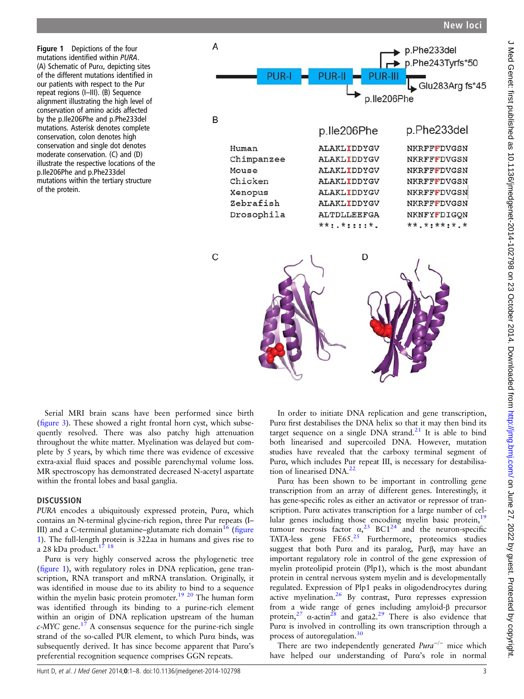<span id="page-2-0"></span>Figure 1 Depictions of the four mutations identified within PURA. (A) Schematic of Purα, depicting sites of the different mutations identified in our patients with respect to the Pur repeat regions (I–III). (B) Sequence alignment illustrating the high level of conservation of amino acids affected by the p.Ile206Phe and p.Phe233del mutations. Asterisk denotes complete conservation, colon denotes high conservation and single dot denotes moderate conservation. (C) and (D) illustrate the respective locations of the p.Ile206Phe and p.Phe233del mutations within the tertiary structure of the protein.



Serial MRI brain scans have been performed since birth (fi[gure 3](#page-5-0)). These showed a right frontal horn cyst, which subsequently resolved. There was also patchy high attenuation throughout the white matter. Myelination was delayed but complete by 5 years, by which time there was evidence of excessive extra-axial fluid spaces and possible parenchymal volume loss. MR spectroscopy has demonstrated decreased N-acetyl aspartate within the frontal lobes and basal ganglia.

## **DISCUSSION**

PURA encodes a ubiquitously expressed protein, Purα, which contains an N-terminal glycine-rich region, three Pur repeats (I– III) and a C-terminal glutamine–glutamate rich domain $^{16}$  $^{16}$  $^{16}$  (figure 1). The full-length protein is 322aa in humans and gives rise to a 28 kDa product.<sup>[17 18](#page-7-0)</sup>

Purα is very highly conserved across the phylogenetic tree (figure 1), with regulatory roles in DNA replication, gene transcription, RNA transport and mRNA translation. Originally, it was identified in mouse due to its ability to bind to a sequence within the myelin basic protein promoter.<sup>19 20</sup> The human form was identified through its binding to a purine-rich element within an origin of DNA replication upstream of the human  $c$ -MYC gene.<sup>[17](#page-7-0)</sup> A consensus sequence for the purine-rich single strand of the so-called PUR element, to which Purα binds, was subsequently derived. It has since become apparent that Purα's preferential recognition sequence comprises GGN repeats.

In order to initiate DNA replication and gene transcription, Purα first destabilises the DNA helix so that it may then bind its target sequence on a single DNA strand.<sup>[21](#page-7-0)</sup> It is able to bind both linearised and supercoiled DNA. However, mutation studies have revealed that the carboxy terminal segment of Purα, which includes Pur repeat III, is necessary for destabilisa-tion of linearised DNA.<sup>[22](#page-7-0)</sup>

Purα has been shown to be important in controlling gene transcription from an array of different genes. Interestingly, it has gene-specific roles as either an activator or repressor of transcription. Purα activates transcription for a large number of cel-lular genes including those encoding myelin basic protein,<sup>[19](#page-7-0)</sup> tumour necrosis factor  $\alpha_1^{23}$  $\alpha_1^{23}$  $\alpha_1^{23}$  BC1<sup>[24](#page-7-0)</sup> and the neuron-specific TATA-less gene FE65.<sup>[25](#page-7-0)</sup> Furthermore, proteomics studies suggest that both Purα and its paralog, Purβ, may have an important regulatory role in control of the gene expression of myelin proteolipid protein (Plp1), which is the most abundant protein in central nervous system myelin and is developmentally regulated. Expression of Plp1 peaks in oligodendrocytes during active myelination. $26$  By contrast, Pur $\alpha$  represses expression from a wide range of genes including amyloid-β precursor protein,<sup>[27](#page-7-0)</sup>  $\alpha$ -actin<sup>[28](#page-7-0)</sup> and gata2.<sup>[29](#page-7-0)</sup> There is also evidence that Purα is involved in controlling its own transcription through a process of autoregulation.<sup>30</sup>

There are two independently generated  $Pura^{-/-}$  mice which have helped our understanding of Purα's role in normal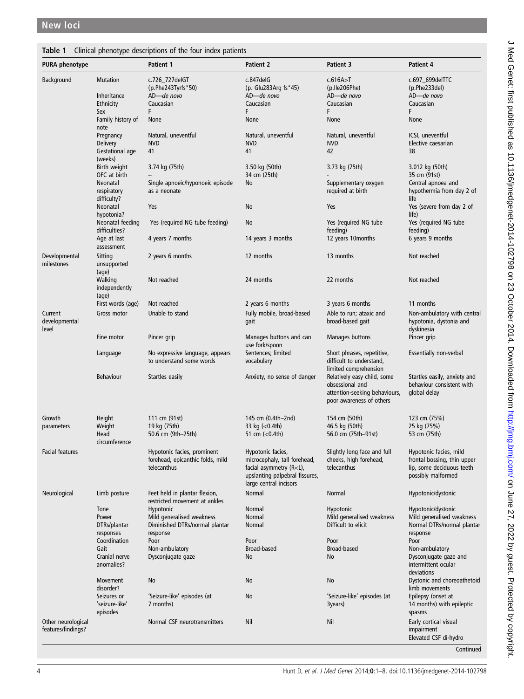# <span id="page-3-0"></span>Table 1 Clinical phenotype descriptions of the four index patients

| <b>PURA phenotype</b>                    |                                             | <b>Patient 1</b>                                                        | <b>Patient 2</b>                                                                                                               | Patient 3                                                                                                   | <b>Patient 4</b>                                                               |
|------------------------------------------|---------------------------------------------|-------------------------------------------------------------------------|--------------------------------------------------------------------------------------------------------------------------------|-------------------------------------------------------------------------------------------------------------|--------------------------------------------------------------------------------|
| Background                               | <b>Mutation</b><br>Inheritance<br>Ethnicity | c.726_727delGT<br>(p.Phe243Tyrfs*50)<br>AD-de novo<br>Caucasian         | c.847delG<br>(p. Glu283Arg fs*45)<br>AD-de novo<br>Caucasian                                                                   | c.616A > T<br>(p.Ile206Phe)<br>AD-de novo<br>Caucasian                                                      | c.697_699delTTC<br>(p.Phe233del)<br>AD-de novo<br>Caucasian                    |
|                                          | Sex<br>Family history of                    | F<br>None                                                               | F<br>None                                                                                                                      | F<br>None                                                                                                   | F<br>None                                                                      |
|                                          | note<br>Pregnancy                           | Natural, uneventful                                                     | Natural, uneventful                                                                                                            | Natural, uneventful                                                                                         | ICSI, uneventful                                                               |
|                                          | Delivery<br>Gestational age<br>(weeks)      | <b>NVD</b><br>41                                                        | <b>NVD</b><br>41                                                                                                               | <b>NVD</b><br>42                                                                                            | Elective caesarian<br>38                                                       |
|                                          | Birth weight<br>OFC at birth                | 3.74 kg (75th)                                                          | 3.50 kg (50th)<br>34 cm (25th)                                                                                                 | 3.73 kg (75th)                                                                                              | 3.012 kg (50th)<br>35 cm (91st)                                                |
|                                          | Neonatal<br>respiratory<br>difficulty?      | Single apnoeic/hyponoeic episode<br>as a neonate                        | No                                                                                                                             | Supplementary oxygen<br>required at birth                                                                   | Central apnoea and<br>hypothermia from day 2 of<br>life                        |
|                                          | Neonatal<br>hypotonia?                      | Yes                                                                     | No                                                                                                                             | Yes                                                                                                         | Yes (severe from day 2 of<br>life)                                             |
|                                          | Neonatal feeding<br>difficulties?           | Yes (required NG tube feeding)                                          | No                                                                                                                             | Yes (required NG tube<br>feeding)                                                                           | Yes (required NG tube<br>feeding)                                              |
|                                          | Age at last<br>assessment                   | 4 years 7 months                                                        | 14 years 3 months                                                                                                              | 12 years 10 months                                                                                          | 6 years 9 months                                                               |
| Developmental<br>milestones              | Sitting<br>unsupported<br>(age)             | 2 years 6 months                                                        | 12 months                                                                                                                      | 13 months                                                                                                   | Not reached                                                                    |
|                                          | Walking<br>independently<br>(age)           | Not reached                                                             | 24 months                                                                                                                      | 22 months                                                                                                   | Not reached                                                                    |
|                                          | First words (age)                           | Not reached                                                             | 2 years 6 months                                                                                                               | 3 years 6 months                                                                                            | 11 months                                                                      |
| Current<br>developmental<br>level        | Gross motor                                 | Unable to stand                                                         | Fully mobile, broad-based<br>gait                                                                                              | Able to run; ataxic and<br>broad-based gait                                                                 | Non-ambulatory with central<br>hypotonia, dystonia and<br>dyskinesia           |
|                                          | Fine motor                                  | Pincer grip                                                             | Manages buttons and can<br>use fork/spoon                                                                                      | Manages buttons                                                                                             | Pincer grip                                                                    |
|                                          | Language                                    | No expressive language, appears<br>to understand some words             | Sentences; limited<br>vocabulary                                                                                               | Short phrases, repetitive,<br>difficult to understand,<br>limited comprehension                             | Essentially non-verbal                                                         |
|                                          | <b>Behaviour</b>                            | Startles easily                                                         | Anxiety, no sense of danger                                                                                                    | Relatively easy child, some<br>obsessional and<br>attention-seeking behaviours,<br>poor awareness of others | Startles easily, anxiety and<br>behaviour consistent with<br>global delay      |
| Growth                                   | Height<br>Weight                            | 111 cm (91st)<br>19 kg (75th)                                           | 145 cm (0.4th-2nd)<br>33 kg $(-0.4th)$                                                                                         | 154 cm (50th)<br>46.5 kg (50th)                                                                             | 123 cm (75%)<br>25 kg (75%)                                                    |
| parameters                               | Head<br>circumference                       | 50.6 cm (9th-25th)                                                      | 51 cm $(<0.4th)$                                                                                                               | 56.0 cm (75th-91st)                                                                                         | 53 cm (75th)                                                                   |
| <b>Facial features</b>                   |                                             | Hypotonic facies, prominent                                             | Hypotonic facies,                                                                                                              | Slightly long face and full                                                                                 | Hypotonic facies, mild                                                         |
|                                          |                                             | forehead, epicanthic folds, mild<br>telecanthus                         | microcephaly, tall forehead,<br>facial asymmetry (R <l),<br>upslanting palpebral fissures,<br/>large central incisors</l),<br> | cheeks, high forehead,<br>telecanthus                                                                       | frontal bossing, thin upper<br>lip, some deciduous teeth<br>possibly malformed |
| Neurological                             | Limb posture                                | Feet held in plantar flexion,<br>restricted movement at ankles          | Normal                                                                                                                         | Normal                                                                                                      | Hypotonic/dystonic                                                             |
|                                          | Tone                                        | Hypotonic                                                               | Normal                                                                                                                         | Hypotonic                                                                                                   | Hypotonic/dystonic                                                             |
|                                          | Power<br>DTRs/plantar<br>responses          | Mild generalised weakness<br>Diminished DTRs/normal plantar<br>response | Normal<br>Normal                                                                                                               | Mild generalised weakness<br>Difficult to elicit                                                            | Mild generalised weakness<br>Normal DTRs/normal plantar<br>response            |
|                                          | Coordination                                | Poor                                                                    | Poor                                                                                                                           | Poor                                                                                                        | Poor                                                                           |
|                                          | Gait<br>Cranial nerve<br>anomalies?         | Non-ambulatory<br>Dysconjugate gaze                                     | <b>Broad-based</b><br>No                                                                                                       | <b>Broad-based</b><br>No                                                                                    | Non-ambulatory<br>Dysconjugate gaze and<br>intermittent ocular<br>deviations   |
|                                          | Movement<br>disorder?                       | No                                                                      | No                                                                                                                             | No                                                                                                          | Dystonic and choreoathetoid<br>limb movements                                  |
|                                          | Seizures or<br>'seizure-like'<br>episodes   | 'Seizure-like' episodes (at<br>7 months)                                | No                                                                                                                             | 'Seizure-like' episodes (at<br>3years)                                                                      | Epilepsy (onset at<br>14 months) with epileptic<br>spasms                      |
| Other neurological<br>features/findings? |                                             | Normal CSF neurotransmitters                                            | Nil                                                                                                                            | Nil                                                                                                         | Early cortical visual<br>impairment<br>Elevated CSF di-hydro                   |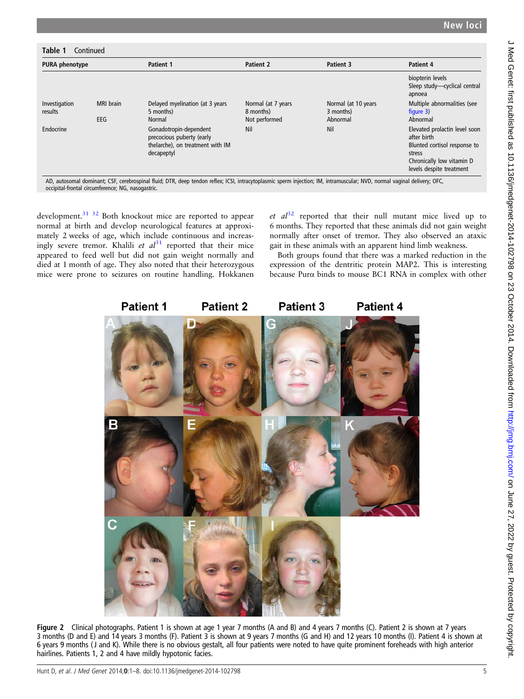<span id="page-4-0"></span>

| <b>PURA phenotype</b>    |                  | <b>Patient 1</b>                                                                                      | Patient 2                                        | Patient 3                                    | Patient 4                                                                                                                                       |
|--------------------------|------------------|-------------------------------------------------------------------------------------------------------|--------------------------------------------------|----------------------------------------------|-------------------------------------------------------------------------------------------------------------------------------------------------|
|                          |                  |                                                                                                       |                                                  |                                              | biopterin levels<br>Sleep study-cyclical central<br>apnoea                                                                                      |
| Investigation<br>results | MRI brain<br>EEG | Delayed myelination (at 3 years<br>5 months)<br>Normal                                                | Normal (at 7 years<br>8 months)<br>Not performed | Normal (at 10 years<br>3 months)<br>Abnormal | Multiple abnormalities (see<br>figure $3$ )<br>Abnormal                                                                                         |
| Endocrine                |                  | Gonadotropin-dependent<br>precocious puberty (early<br>thelarche), on treatment with IM<br>decapeptyl | Nil                                              | Nil                                          | Elevated prolactin level soon<br>after birth<br>Blunted cortisol response to<br>stress<br>Chronically low vitamin D<br>levels despite treatment |

development.<sup>31</sup> <sup>32</sup> Both knockout mice are reported to appear normal at birth and develop neurological features at approximately 2 weeks of age, which include continuous and increasingly severe tremor. Khalili et  $al^{31}$  $al^{31}$  $al^{31}$  reported that their mice appeared to feed well but did not gain weight normally and died at 1 month of age. They also noted that their heterozygous mice were prone to seizures on routine handling. Hokkanen

et  $al^{32}$  $al^{32}$  $al^{32}$  reported that their null mutant mice lived up to 6 months. They reported that these animals did not gain weight normally after onset of tremor. They also observed an ataxic gait in these animals with an apparent hind limb weakness.

Both groups found that there was a marked reduction in the expression of the dentritic protein MAP2. This is interesting because Purα binds to mouse BC1 RNA in complex with other



Figure 2 Clinical photographs. Patient 1 is shown at age 1 year 7 months (A and B) and 4 years 7 months (C). Patient 2 is shown at 7 years 3 months (D and E) and 14 years 3 months (F). Patient 3 is shown at 9 years 7 months (G and H) and 12 years 10 months (I). Patient 4 is shown at 6 years 9 months ( J and K). While there is no obvious gestalt, all four patients were noted to have quite prominent foreheads with high anterior hairlines. Patients 1, 2 and 4 have mildly hypotonic facies.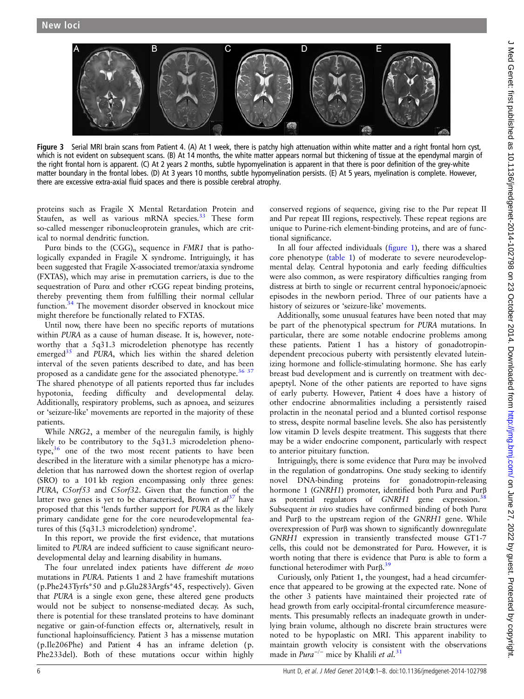<span id="page-5-0"></span>

Figure 3 Serial MRI brain scans from Patient 4. (A) At 1 week, there is patchy high attenuation within white matter and a right frontal horn cyst, which is not evident on subsequent scans. (B) At 14 months, the white matter appears normal but thickening of tissue at the ependymal margin of the right frontal horn is apparent. (C) At 2 years 2 months, subtle hypomyelination is apparent in that there is poor definition of the grey-white matter boundary in the frontal lobes. (D) At 3 years 10 months, subtle hypomyelination persists. (E) At 5 years, myelination is complete. However, there are excessive extra-axial fluid spaces and there is possible cerebral atrophy.

proteins such as Fragile X Mental Retardation Protein and Staufen, as well as various mRNA species.<sup>[33](#page-7-0)</sup> These form so-called messenger ribonucleoprotein granules, which are critical to normal dendritic function.

Pur $\alpha$  binds to the (CGG)<sub>n</sub> sequence in FMR1 that is pathologically expanded in Fragile X syndrome. Intriguingly, it has been suggested that Fragile X-associated tremor/ataxia syndrome (FXTAS), which may arise in premutation carriers, is due to the sequestration of Purα and other rCGG repeat binding proteins, thereby preventing them from fulfilling their normal cellular function.[34](#page-7-0) The movement disorder observed in knockout mice might therefore be functionally related to FXTAS.

Until now, there have been no specific reports of mutations within PURA as a cause of human disease. It is, however, noteworthy that a 5q31.3 microdeletion phenotype has recently emerged $35$  and PURA, which lies within the shared deletion interval of the seven patients described to date, and has been proposed as a candidate gene for the associated phenotype.<sup>[36 37](#page-7-0)</sup> The shared phenotype of all patients reported thus far includes hypotonia, feeding difficulty and developmental delay. Additionally, respiratory problems, such as apnoea, and seizures or 'seizure-like' movements are reported in the majority of these patients.

While NRG2, a member of the neuregulin family, is highly likely to be contributory to the 5q31.3 microdeletion phenotype, $36$  one of the two most recent patients to have been described in the literature with a similar phenotype has a microdeletion that has narrowed down the shortest region of overlap (SRO) to a 101 kb region encompassing only three genes: PURA, C5orf53 and C5orf32. Given that the function of the latter two genes is yet to be characterised, Brown et  $al<sup>37</sup>$  $al<sup>37</sup>$  $al<sup>37</sup>$  have proposed that this 'lends further support for PURA as the likely primary candidate gene for the core neurodevelopmental features of this (5q31.3 microdeletion) syndrome'.

In this report, we provide the first evidence, that mutations limited to PURA are indeed sufficient to cause significant neurodevelopmental delay and learning disability in humans.

The four unrelated index patients have different de novo mutations in PURA. Patients 1 and 2 have frameshift mutations (p.Phe243Tyrfs\*50 and p.Glu283Argfs\*45, respectively). Given that PURA is a single exon gene, these altered gene products would not be subject to nonsense-mediated decay. As such, there is potential for these translated proteins to have dominant negative or gain-of-function effects or, alternatively, result in functional haploinsufficiency. Patient 3 has a missense mutation (p.Ile206Phe) and Patient 4 has an inframe deletion (p. Phe233del). Both of these mutations occur within highly

conserved regions of sequence, giving rise to the Pur repeat II and Pur repeat III regions, respectively. These repeat regions are unique to Purine-rich element-binding proteins, and are of functional significance.

In all four affected individuals (fi[gure 1\)](#page-2-0), there was a shared core phenotype [\(table 1](#page-3-0)) of moderate to severe neurodevelopmental delay. Central hypotonia and early feeding difficulties were also common, as were respiratory difficulties ranging from distress at birth to single or recurrent central hyponoeic/apnoeic episodes in the newborn period. Three of our patients have a history of seizures or 'seizure-like' movements.

Additionally, some unusual features have been noted that may be part of the phenotypical spectrum for PURA mutations. In particular, there are some notable endocrine problems among these patients. Patient 1 has a history of gonadotropindependent precocious puberty with persistently elevated luteinizing hormone and follicle-stimulating hormone. She has early breast bud development and is currently on treatment with decapeptyl. None of the other patients are reported to have signs of early puberty. However, Patient 4 does have a history of other endocrine abnormalities including a persistently raised prolactin in the neonatal period and a blunted cortisol response to stress, despite normal baseline levels. She also has persistently low vitamin D levels despite treatment. This suggests that there may be a wider endocrine component, particularly with respect to anterior pituitary function.

Intriguingly, there is some evidence that Purα may be involved in the regulation of gondatropins. One study seeking to identify novel DNA-binding proteins for gonadotropin-releasing hormone 1 (GNRH1) promoter, identified both Purα and Purβ as potential regulators of  $GNRH1$  gene expression.<sup>[38](#page-7-0)</sup> Subsequent in vivo studies have confirmed binding of both Purα and Purβ to the upstream region of the GNRH1 gene. While overexpression of Purβ was shown to significantly downregulate GNRH1 expression in transiently transfected mouse GT1-7 cells, this could not be demonstrated for Purα. However, it is worth noting that there is evidence that Purα is able to form a functional heterodimer with Purβ. [39](#page-7-0)

Curiously, only Patient 1, the youngest, had a head circumference that appeared to be growing at the expected rate. None of the other 3 patients have maintained their projected rate of head growth from early occipital-frontal circumference measurements. This presumably reflects an inadequate growth in underlying brain volume, although no discrete brain structures were noted to be hypoplastic on MRI. This apparent inability to maintain growth velocity is consistent with the observations made in  $Pura^{-/-}$  mice by Khalili et al.<sup>[31](#page-7-0)</sup>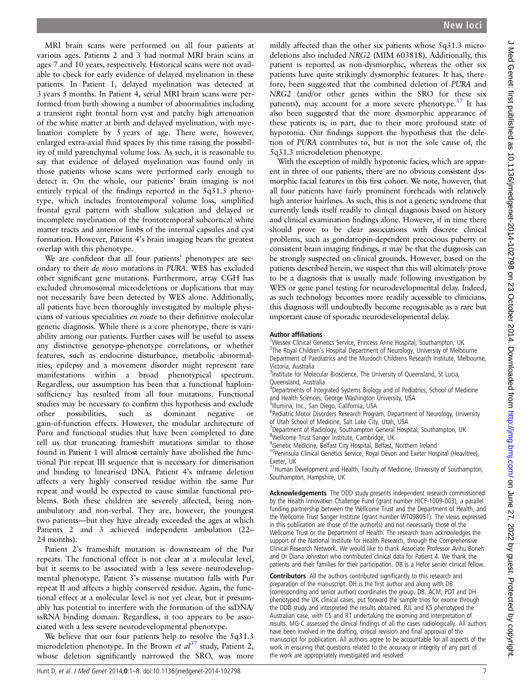MRI brain scans were performed on all four patients at various ages. Patients 2 and 3 had normal MRI brain scans at ages 7 and 10 years, respectively. Historical scans were not available to check for early evidence of delayed myelination in these patients. In Patient 1, delayed myelination was detected at 3 years 5 months. In Patient 4, serial MRI brain scans were performed from birth showing a number of abnormalities including a transient right frontal horn cyst and patchy high attenuation of the white matter at birth and delayed myelination, with myelination complete by 5 years of age. There were, however, enlarged extra-axial fluid spaces by this time raising the possibility of mild parenchymal volume loss. As such, it is reasonable to say that evidence of delayed myelination was found only in those patients whose scans were performed early enough to detect it. On the whole, our patients' brain imaging is not entirely typical of the findings reported in the 5q31.3 phenotype, which includes frontotemporal volume loss, simplified frontal gyral pattern with shallow sulcation and delayed or incomplete myelination of the frontotemporal subcortical white matter tracts and anterior limbs of the internal capsules and cyst formation. However, Patient 4's brain imaging bears the greatest overlap with this phenotype.

We are confident that all four patients' phenotypes are secondary to their de novo mutations in PURA. WES has excluded other significant gene mutations. Furthermore, array CGH has excluded chromosomal microdeletions or duplications that may not necessarily have been detected by WES alone. Additionally, all patients have been thoroughly investigated by multiple physicians of various specialities en route to their definitive molecular genetic diagnosis. While there is a core phenotype, there is variability among our patients. Further cases will be useful to assess any distinctive genotype–phenotype correlations, or whether features, such as endocrine disturbance, metabolic abnormalities, epilepsy and a movement disorder might represent rare manifestations within a broad phenotypical spectrum. Regardless, our assumption has been that a functional haploinsufficiency has resulted from all four mutations. Functional studies may be necessary to confirm this hypothesis and exclude other possibilities, such as dominant negative or gain-of-function effects. However, the modular architecture of Purα and functional studies that have been completed to date tell us that truncating frameshift mutations similar to those found in Patient 1 will almost certainly have abolished the functional Pur repeat III sequence that is necessary for dimerisation and binding to linearised DNA. Patient 4's inframe deletion affects a very highly conserved residue within the same Pur repeat and would be expected to cause similar functional problems. Both these children are severely affected, being nonambulatory and non-verbal. They are, however, the youngest two patients—but they have already exceeded the ages at which Patients 2 and 3 achieved independent ambulation (22– 24 months).

Patient 2's frameshift mutation is downstream of the Pur repeats. The functional effect is not clear at a molecular level, but it seems to be associated with a less severe neurodevelopmental phenotype. Patient 3's missense mutation falls with Pur repeat II and affects a highly conserved residue. Again, the functional effect at a molecular level is not yet clear, but it presumably has potential to interfere with the formation of the ssDNA/ ssRNA binding domain. Regardless, it too appears to be associated with a less severe neurodevelopmental phenotype.

We believe that our four patients help to resolve the 5q31.3 microdeletion phenotype. In the Brown et  $al^{37}$  $al^{37}$  $al^{37}$  study, Patient 2, whose deletion significantly narrowed the SRO, was more

mildly affected than the other six patients whose 5q31.3 microdeletions also included NRG2 (MIM 603818). Additionally, this patient is reported as non-dysmorphic, whereas the other six patients have quite strikingly dysmorphic features. It has, therefore, been suggested that the combined deletion of PURA and NRG2 (and/or other genes within the SRO for these six patients), may account for a more severe phenotype.<sup>[37](#page-7-0)</sup> It has also been suggested that the more dysmorphic appearance of these patients is, in part, due to their more profound state of hypotonia. Our findings support the hypothesis that the deletion of PURA contributes to, but is not the sole cause of, the 5q31.3 microdeletion phenotype.

With the exception of mildly hypotonic facies, which are apparent in three of our patients, there are no obvious consistent dysmorphic facial features in this first cohort. We note, however, that all four patients have fairly prominent foreheads with relatively high anterior hairlines. As such, this is not a genetic syndrome that currently lends itself readily to clinical diagnosis based on history and clinical examination findings alone. However, if in time there should prove to be clear associations with discrete clinical problems, such as gondatropin-dependent precocious puberty or consistent brain imaging findings, it may be that the diagnosis can be strongly suspected on clinical grounds. However, based on the patients described herein, we suspect that this will ultimately prove to be a diagnosis that is usually made following investigation by WES or gene panel testing for neurodevelopmental delay. Indeed, as such technology becomes more readily accessible to clinicians, this diagnosis will undoubtedly become recognisable as a rare but important cause of sporadic neurodevelopmental delay.

#### Author affiliations <sup>1</sup>

<sup>1</sup>Wessex Clinical Genetics Service, Princess Anne Hospital, Southampton, UK <sup>2</sup>The Royal Children's Hospital Department of Neurology, University of Melbourne Department of Paediatrics and the Murdoch Childrens Research Institute, Melbourne, Victoria, Australia

<sup>3</sup>Institute for Molecular Bioscience, The University of Queensland, St Lucia,

Queensland, Australia <sup>4</sup>Departments of Integrated Systems Biology and of Pediatrics, School of Medicine and Health Sciences, George Washington University, USA

5 Illumina, Inc., San Diego, California, USA

<sup>6</sup>Pediatric Motor Disorders Research Program, Department of Neurology, University of Utah School of Medicine, Salt Lake City, Utah, USA

<sup>7</sup>Department of Radiology, Southampton General Hospital, Southampton, UK <sup>8</sup>Wellcome Trust Sanger Institute, Cambridge, UK

<sup>9</sup>Genetic Medicine, Belfast City Hospital, Belfast, Northern Ireland

<sup>10</sup>Peninsula Clinical Genetics Service, Royal Devon and Exeter Hospital (Heavitree), Exeter, UK

<sup>11</sup>Human Development and Health, Faculty of Medicine, University of Southampton, Southampton, Hampshire, UK

Acknowledgements The DDD study presents independent research commissioned by the Health Innovation Challenge Fund (grant number HICF-1009-003), a parallel funding partnership between the Wellcome Trust and the Department of Health, and the Wellcome Trust Sanger Institute (grant number WT098051). The views expressed in this publication are those of the author(s) and not necessarily those of the Wellcome Trust or the Department of Health. The research team acknowledges the support of the National Institute for Health Research, through the Comprehensive Clinical Research Network. We would like to thank Associate Professor Avihu Boneh and Dr Diana Johnston who contributed clinical data for Patient 4. We thank the patients and their families for their participation. DB is a Hefce senior clinical fellow.

Contributors All the authors contributed significantly to this research and preparation of the manuscript. DH is the first author and along with DB (corresponding and senior author) coordinates the group. DB, ACM, PDT and DH phenotyped the UK clinical cases, put forward the sample trios for exome through the DDD study and interpreted the results obtained. RJL and KS phenotyped the Australian case, with CS and RT undertaking the exoming and interpretation of results. MG-C assessed the clinical findings of all the cases radiologically. All authors have been involved in the drafting, critical revision and final approval of the manuscript for publication. All authors agree to be accountable for all aspects of the work in ensuring that questions related to the accuracy or integrity of any part of the work are appropriately investigated and resolved.